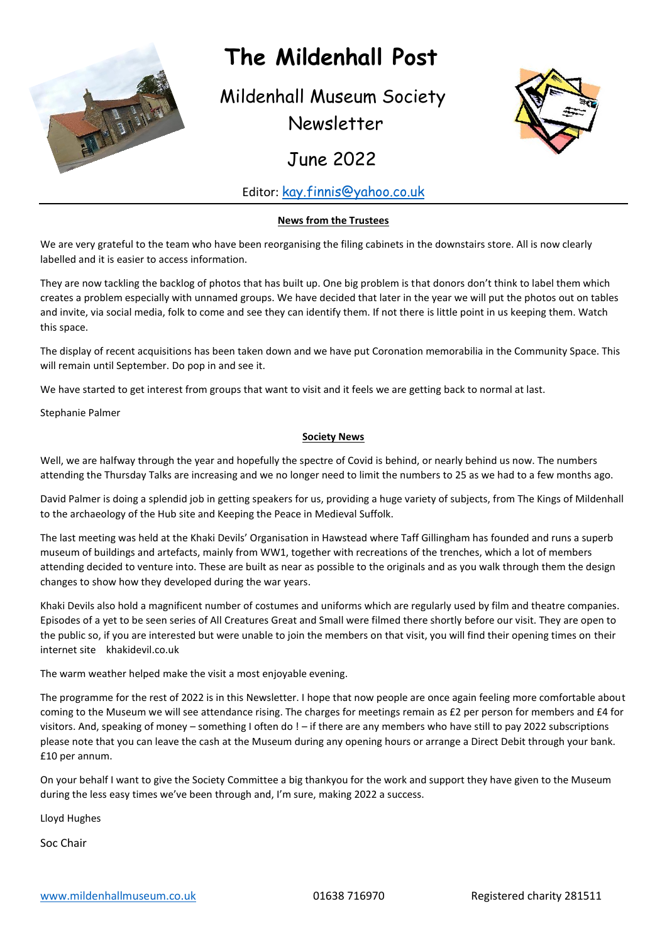

# **The Mildenhall Post**

Mildenhall Museum Society Newsletter



June 2022

#### Editor: [kay.finnis@yahoo.co.uk](mailto:kay.finnis@yahoo.co.uk)

#### **News from the Trustees**

We are very grateful to the team who have been reorganising the filing cabinets in the downstairs store. All is now clearly labelled and it is easier to access information.

They are now tackling the backlog of photos that has built up. One big problem is that donors don't think to label them which creates a problem especially with unnamed groups. We have decided that later in the year we will put the photos out on tables and invite, via social media, folk to come and see they can identify them. If not there is little point in us keeping them. Watch this space.

The display of recent acquisitions has been taken down and we have put Coronation memorabilia in the Community Space. This will remain until September. Do pop in and see it.

We have started to get interest from groups that want to visit and it feels we are getting back to normal at last.

Stephanie Palmer

#### **Society News**

Well, we are halfway through the year and hopefully the spectre of Covid is behind, or nearly behind us now. The numbers attending the Thursday Talks are increasing and we no longer need to limit the numbers to 25 as we had to a few months ago.

David Palmer is doing a splendid job in getting speakers for us, providing a huge variety of subjects, from The Kings of Mildenhall to the archaeology of the Hub site and Keeping the Peace in Medieval Suffolk.

The last meeting was held at the Khaki Devils' Organisation in Hawstead where Taff Gillingham has founded and runs a superb museum of buildings and artefacts, mainly from WW1, together with recreations of the trenches, which a lot of members attending decided to venture into. These are built as near as possible to the originals and as you walk through them the design changes to show how they developed during the war years.

Khaki Devils also hold a magnificent number of costumes and uniforms which are regularly used by film and theatre companies. Episodes of a yet to be seen series of All Creatures Great and Small were filmed there shortly before our visit. They are open to the public so, if you are interested but were unable to join the members on that visit, you will find their opening times on their internet site khakidevil.co.uk

The warm weather helped make the visit a most enjoyable evening.

The programme for the rest of 2022 is in this Newsletter. I hope that now people are once again feeling more comfortable about coming to the Museum we will see attendance rising. The charges for meetings remain as £2 per person for members and £4 for visitors. And, speaking of money – something I often do ! – if there are any members who have still to pay 2022 subscriptions please note that you can leave the cash at the Museum during any opening hours or arrange a Direct Debit through your bank. £10 per annum.

On your behalf I want to give the Society Committee a big thankyou for the work and support they have given to the Museum during the less easy times we've been through and, I'm sure, making 2022 a success.

Lloyd Hughes

Soc Chair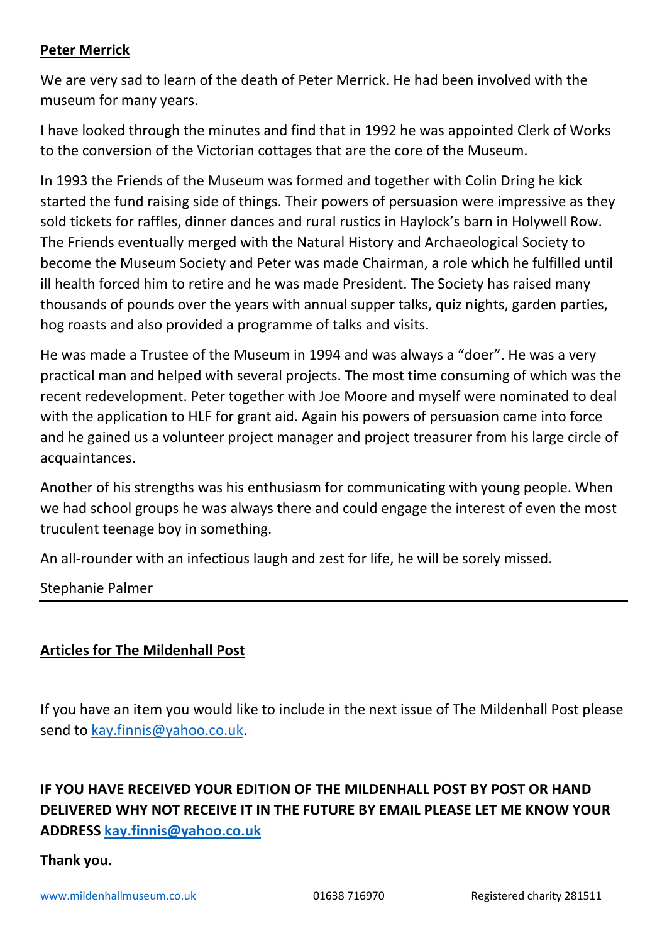### **Peter Merrick**

We are very sad to learn of the death of Peter Merrick. He had been involved with the museum for many years.

I have looked through the minutes and find that in 1992 he was appointed Clerk of Works to the conversion of the Victorian cottages that are the core of the Museum.

In 1993 the Friends of the Museum was formed and together with Colin Dring he kick started the fund raising side of things. Their powers of persuasion were impressive as they sold tickets for raffles, dinner dances and rural rustics in Haylock's barn in Holywell Row. The Friends eventually merged with the Natural History and Archaeological Society to become the Museum Society and Peter was made Chairman, a role which he fulfilled until ill health forced him to retire and he was made President. The Society has raised many thousands of pounds over the years with annual supper talks, quiz nights, garden parties, hog roasts and also provided a programme of talks and visits.

He was made a Trustee of the Museum in 1994 and was always a "doer". He was a very practical man and helped with several projects. The most time consuming of which was the recent redevelopment. Peter together with Joe Moore and myself were nominated to deal with the application to HLF for grant aid. Again his powers of persuasion came into force and he gained us a volunteer project manager and project treasurer from his large circle of acquaintances.

Another of his strengths was his enthusiasm for communicating with young people. When we had school groups he was always there and could engage the interest of even the most truculent teenage boy in something.

An all-rounder with an infectious laugh and zest for life, he will be sorely missed.

Stephanie Palmer

### **Articles for The Mildenhall Post**

If you have an item you would like to include in the next issue of The Mildenhall Post please send to [kay.finnis@yahoo.co.uk.](mailto:kay.finnis@yahoo.co.uk)

# **IF YOU HAVE RECEIVED YOUR EDITION OF THE MILDENHALL POST BY POST OR HAND DELIVERED WHY NOT RECEIVE IT IN THE FUTURE BY EMAIL PLEASE LET ME KNOW YOUR ADDRESS [kay.finnis@yahoo.co.uk](mailto:kay.finnis@yahoo.co.uk)**

#### **Thank you.**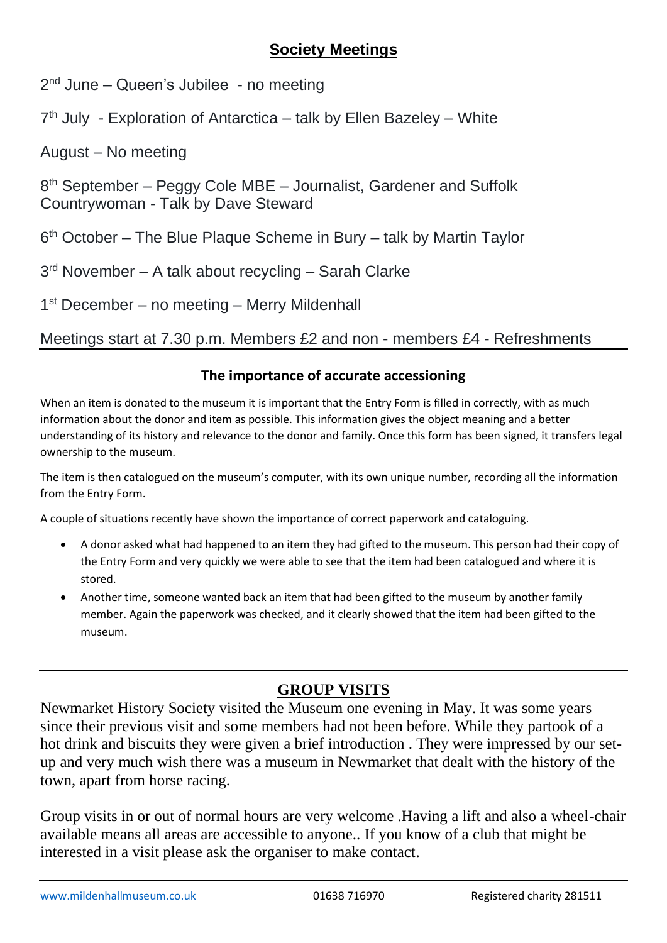# **Society Meetings**

2<sup>nd</sup> June – Queen's Jubilee - no meeting

7<sup>th</sup> July - Exploration of Antarctica – talk by Ellen Bazeley – White

August – No meeting

8<sup>th</sup> September – Peggy Cole MBE – Journalist, Gardener and Suffolk Countrywoman - Talk by Dave Steward

6<sup>th</sup> October – The Blue Plaque Scheme in Bury – talk by Martin Taylor

3<sup>rd</sup> November – A talk about recycling – Sarah Clarke

1<sup>st</sup> December – no meeting – Merry Mildenhall

Meetings start at 7.30 p.m. Members £2 and non - members £4 - Refreshments

#### **The importance of accurate accessioning**

When an item is donated to the museum it is important that the Entry Form is filled in correctly, with as much information about the donor and item as possible. This information gives the object meaning and a better understanding of its history and relevance to the donor and family. Once this form has been signed, it transfers legal ownership to the museum.

The item is then catalogued on the museum's computer, with its own unique number, recording all the information from the Entry Form.

A couple of situations recently have shown the importance of correct paperwork and cataloguing.

- A donor asked what had happened to an item they had gifted to the museum. This person had their copy of the Entry Form and very quickly we were able to see that the item had been catalogued and where it is stored.
- Another time, someone wanted back an item that had been gifted to the museum by another family member. Again the paperwork was checked, and it clearly showed that the item had been gifted to the museum.

# **GROUP VISITS**

Newmarket History Society visited the Museum one evening in May. It was some years since their previous visit and some members had not been before. While they partook of a hot drink and biscuits they were given a brief introduction . They were impressed by our setup and very much wish there was a museum in Newmarket that dealt with the history of the town, apart from horse racing.

Group visits in or out of normal hours are very welcome .Having a lift and also a wheel-chair available means all areas are accessible to anyone.. If you know of a club that might be interested in a visit please ask the organiser to make contact.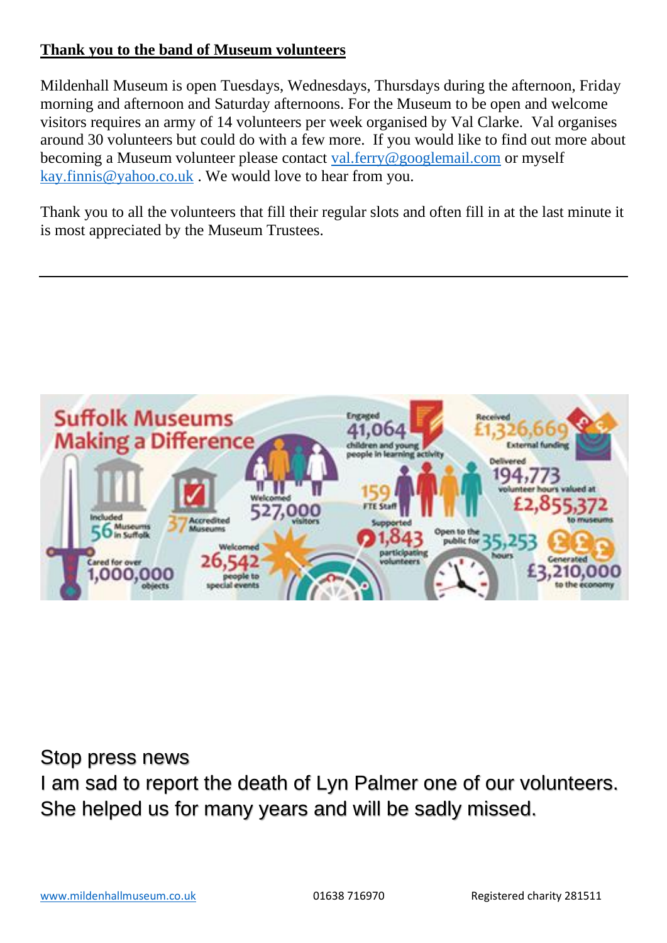## **Thank you to the band of Museum volunteers**

Mildenhall Museum is open Tuesdays, Wednesdays, Thursdays during the afternoon, Friday morning and afternoon and Saturday afternoons. For the Museum to be open and welcome visitors requires an army of 14 volunteers per week organised by Val Clarke. Val organises around 30 volunteers but could do with a few more. If you would like to find out more about becoming a Museum volunteer please contact [val.ferry@googlemail.com](mailto:val.ferry@googlemail.com) or myself [kay.finnis@yahoo.co.uk](mailto:kay.finnis@yahoo.co.uk) . We would love to hear from you.

Thank you to all the volunteers that fill their regular slots and often fill in at the last minute it is most appreciated by the Museum Trustees.



Stop press news

I am sad to report the death of Lyn Palmer one of our volunteers. She helped us for many years and will be sadly missed.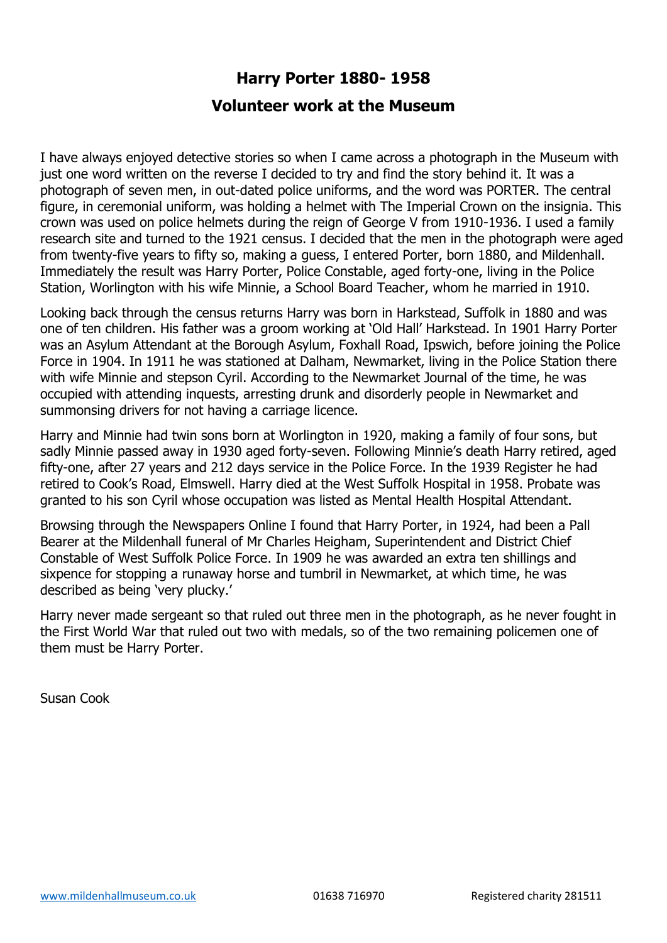# **Harry Porter 1880- 1958**

### **Volunteer work at the Museum**

I have always enjoyed detective stories so when I came across a photograph in the Museum with just one word written on the reverse I decided to try and find the story behind it. It was a photograph of seven men, in out-dated police uniforms, and the word was PORTER. The central figure, in ceremonial uniform, was holding a helmet with The Imperial Crown on the insignia. This crown was used on police helmets during the reign of George V from 1910-1936. I used a family research site and turned to the 1921 census. I decided that the men in the photograph were aged from twenty-five years to fifty so, making a guess, I entered Porter, born 1880, and Mildenhall. Immediately the result was Harry Porter, Police Constable, aged forty-one, living in the Police Station, Worlington with his wife Minnie, a School Board Teacher, whom he married in 1910.

Looking back through the census returns Harry was born in Harkstead, Suffolk in 1880 and was one of ten children. His father was a groom working at 'Old Hall' Harkstead. In 1901 Harry Porter was an Asylum Attendant at the Borough Asylum, Foxhall Road, Ipswich, before joining the Police Force in 1904. In 1911 he was stationed at Dalham, Newmarket, living in the Police Station there with wife Minnie and stepson Cyril. According to the Newmarket Journal of the time, he was occupied with attending inquests, arresting drunk and disorderly people in Newmarket and summonsing drivers for not having a carriage licence.

Harry and Minnie had twin sons born at Worlington in 1920, making a family of four sons, but sadly Minnie passed away in 1930 aged forty-seven. Following Minnie's death Harry retired, aged fifty-one, after 27 years and 212 days service in the Police Force. In the 1939 Register he had retired to Cook's Road, Elmswell. Harry died at the West Suffolk Hospital in 1958. Probate was granted to his son Cyril whose occupation was listed as Mental Health Hospital Attendant.

Browsing through the Newspapers Online I found that Harry Porter, in 1924, had been a Pall Bearer at the Mildenhall funeral of Mr Charles Heigham, Superintendent and District Chief Constable of West Suffolk Police Force. In 1909 he was awarded an extra ten shillings and sixpence for stopping a runaway horse and tumbril in Newmarket, at which time, he was described as being 'very plucky.'

Harry never made sergeant so that ruled out three men in the photograph, as he never fought in the First World War that ruled out two with medals, so of the two remaining policemen one of them must be Harry Porter.

Susan Cook